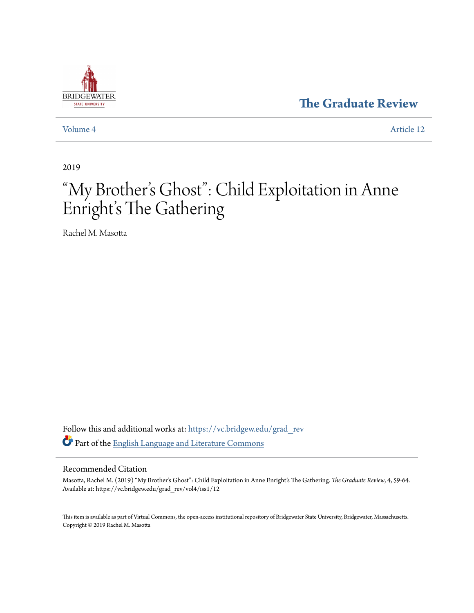

**[The Graduate Review](https://vc.bridgew.edu/grad_rev?utm_source=vc.bridgew.edu%2Fgrad_rev%2Fvol4%2Fiss1%2F12&utm_medium=PDF&utm_campaign=PDFCoverPages)**

[Volume 4](https://vc.bridgew.edu/grad_rev/vol4?utm_source=vc.bridgew.edu%2Fgrad_rev%2Fvol4%2Fiss1%2F12&utm_medium=PDF&utm_campaign=PDFCoverPages) [Article 12](https://vc.bridgew.edu/grad_rev/vol4/iss1/12?utm_source=vc.bridgew.edu%2Fgrad_rev%2Fvol4%2Fiss1%2F12&utm_medium=PDF&utm_campaign=PDFCoverPages)

2019

# "My Brother 's Ghost": Child Exploitation in Anne Enright's The Gathering

Rachel M. Masotta

Follow this and additional works at: [https://vc.bridgew.edu/grad\\_rev](https://vc.bridgew.edu/grad_rev?utm_source=vc.bridgew.edu%2Fgrad_rev%2Fvol4%2Fiss1%2F12&utm_medium=PDF&utm_campaign=PDFCoverPages) Part of the [English Language and Literature Commons](http://network.bepress.com/hgg/discipline/455?utm_source=vc.bridgew.edu%2Fgrad_rev%2Fvol4%2Fiss1%2F12&utm_medium=PDF&utm_campaign=PDFCoverPages)

#### Recommended Citation

Masotta, Rachel M. (2019) "My Brother's Ghost": Child Exploitation in Anne Enright's The Gathering. *The Graduate Review*, 4, 59-64. Available at: https://vc.bridgew.edu/grad\_rev/vol4/iss1/12

This item is available as part of Virtual Commons, the open-access institutional repository of Bridgewater State University, Bridgewater, Massachusetts. Copyright © 2019 Rachel M. Masotta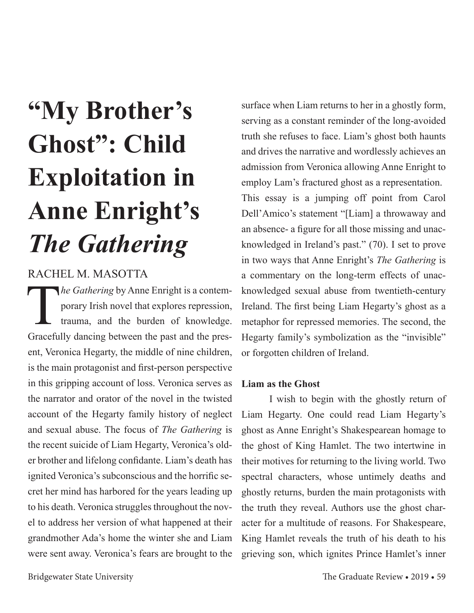# **"My Brother's Ghost": Child Exploitation in Anne Enright's**  *The Gathering*

# RACHEL M. MASOTTA

*The Gathering* by Anne Enright is a contemporary Irish novel that explores repression, trauma, and the burden of knowledge. porary Irish novel that explores repression, trauma, and the burden of knowledge. Gracefully dancing between the past and the present, Veronica Hegarty, the middle of nine children, is the main protagonist and first-person perspective in this gripping account of loss. Veronica serves as the narrator and orator of the novel in the twisted account of the Hegarty family history of neglect and sexual abuse. The focus of *The Gathering* is the recent suicide of Liam Hegarty, Veronica's older brother and lifelong confidante. Liam's death has ignited Veronica's subconscious and the horrific secret her mind has harbored for the years leading up to his death. Veronica struggles throughout the novel to address her version of what happened at their grandmother Ada's home the winter she and Liam were sent away. Veronica's fears are brought to the

surface when Liam returns to her in a ghostly form, serving as a constant reminder of the long-avoided truth she refuses to face. Liam's ghost both haunts and drives the narrative and wordlessly achieves an admission from Veronica allowing Anne Enright to employ Lam's fractured ghost as a representation. This essay is a jumping off point from Carol Dell'Amico's statement "[Liam] a throwaway and an absence- a figure for all those missing and unacknowledged in Ireland's past." (70). I set to prove in two ways that Anne Enright's *The Gathering* is a commentary on the long-term effects of unacknowledged sexual abuse from twentieth-century Ireland. The first being Liam Hegarty's ghost as a metaphor for repressed memories. The second, the Hegarty family's symbolization as the "invisible" or forgotten children of Ireland.

# **Liam as the Ghost**

I wish to begin with the ghostly return of Liam Hegarty. One could read Liam Hegarty's ghost as Anne Enright's Shakespearean homage to the ghost of King Hamlet. The two intertwine in their motives for returning to the living world. Two spectral characters, whose untimely deaths and ghostly returns, burden the main protagonists with the truth they reveal. Authors use the ghost character for a multitude of reasons. For Shakespeare, King Hamlet reveals the truth of his death to his grieving son, which ignites Prince Hamlet's inner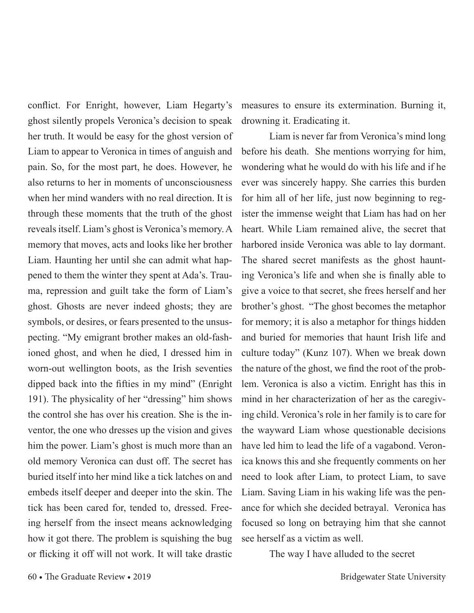conflict. For Enright, however, Liam Hegarty's ghost silently propels Veronica's decision to speak her truth. It would be easy for the ghost version of Liam to appear to Veronica in times of anguish and pain. So, for the most part, he does. However, he also returns to her in moments of unconsciousness when her mind wanders with no real direction. It is through these moments that the truth of the ghost reveals itself. Liam's ghost is Veronica's memory. A memory that moves, acts and looks like her brother Liam. Haunting her until she can admit what happened to them the winter they spent at Ada's. Trauma, repression and guilt take the form of Liam's ghost. Ghosts are never indeed ghosts; they are symbols, or desires, or fears presented to the unsuspecting. "My emigrant brother makes an old-fashioned ghost, and when he died, I dressed him in worn-out wellington boots, as the Irish seventies dipped back into the fifties in my mind" (Enright 191). The physicality of her "dressing" him shows the control she has over his creation. She is the inventor, the one who dresses up the vision and gives him the power. Liam's ghost is much more than an old memory Veronica can dust off. The secret has buried itself into her mind like a tick latches on and embeds itself deeper and deeper into the skin. The tick has been cared for, tended to, dressed. Freeing herself from the insect means acknowledging how it got there. The problem is squishing the bug or flicking it off will not work. It will take drastic

measures to ensure its extermination. Burning it, drowning it. Eradicating it.

Liam is never far from Veronica's mind long before his death. She mentions worrying for him, wondering what he would do with his life and if he ever was sincerely happy. She carries this burden for him all of her life, just now beginning to register the immense weight that Liam has had on her heart. While Liam remained alive, the secret that harbored inside Veronica was able to lay dormant. The shared secret manifests as the ghost haunting Veronica's life and when she is finally able to give a voice to that secret, she frees herself and her brother's ghost. "The ghost becomes the metaphor for memory; it is also a metaphor for things hidden and buried for memories that haunt Irish life and culture today" (Kunz 107). When we break down the nature of the ghost, we find the root of the problem. Veronica is also a victim. Enright has this in mind in her characterization of her as the caregiving child. Veronica's role in her family is to care for the wayward Liam whose questionable decisions have led him to lead the life of a vagabond. Veronica knows this and she frequently comments on her need to look after Liam, to protect Liam, to save Liam. Saving Liam in his waking life was the penance for which she decided betrayal. Veronica has focused so long on betraying him that she cannot see herself as a victim as well.

The way I have alluded to the secret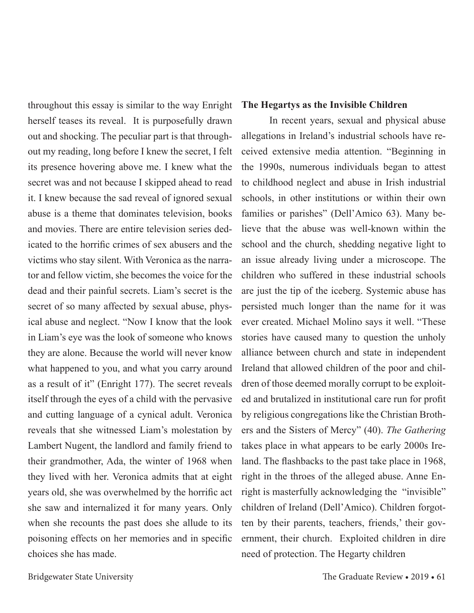throughout this essay is similar to the way Enright herself teases its reveal. It is purposefully drawn out and shocking. The peculiar part is that throughout my reading, long before I knew the secret, I felt its presence hovering above me. I knew what the secret was and not because I skipped ahead to read it. I knew because the sad reveal of ignored sexual abuse is a theme that dominates television, books and movies. There are entire television series dedicated to the horrific crimes of sex abusers and the victims who stay silent. With Veronica as the narrator and fellow victim, she becomes the voice for the dead and their painful secrets. Liam's secret is the secret of so many affected by sexual abuse, physical abuse and neglect. "Now I know that the look in Liam's eye was the look of someone who knows they are alone. Because the world will never know what happened to you, and what you carry around as a result of it" (Enright 177). The secret reveals itself through the eyes of a child with the pervasive and cutting language of a cynical adult. Veronica reveals that she witnessed Liam's molestation by Lambert Nugent, the landlord and family friend to their grandmother, Ada, the winter of 1968 when they lived with her. Veronica admits that at eight years old, she was overwhelmed by the horrific act she saw and internalized it for many years. Only when she recounts the past does she allude to its poisoning effects on her memories and in specific choices she has made.

### **The Hegartys as the Invisible Children**

In recent years, sexual and physical abuse allegations in Ireland's industrial schools have received extensive media attention. "Beginning in the 1990s, numerous individuals began to attest to childhood neglect and abuse in Irish industrial schools, in other institutions or within their own families or parishes" (Dell'Amico 63). Many believe that the abuse was well-known within the school and the church, shedding negative light to an issue already living under a microscope. The children who suffered in these industrial schools are just the tip of the iceberg. Systemic abuse has persisted much longer than the name for it was ever created. Michael Molino says it well. "These stories have caused many to question the unholy alliance between church and state in independent Ireland that allowed children of the poor and children of those deemed morally corrupt to be exploited and brutalized in institutional care run for profit by religious congregations like the Christian Brothers and the Sisters of Mercy" (40). *The Gathering* takes place in what appears to be early 2000s Ireland. The flashbacks to the past take place in 1968, right in the throes of the alleged abuse. Anne Enright is masterfully acknowledging the "invisible" children of Ireland (Dell'Amico). Children forgotten by their parents, teachers, friends,' their government, their church. Exploited children in dire need of protection. The Hegarty children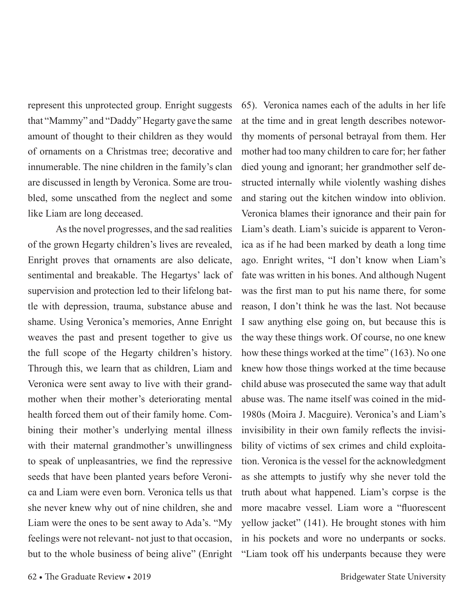represent this unprotected group. Enright suggests that "Mammy" and "Daddy" Hegarty gave the same amount of thought to their children as they would of ornaments on a Christmas tree; decorative and innumerable. The nine children in the family's clan are discussed in length by Veronica. Some are troubled, some unscathed from the neglect and some like Liam are long deceased.

As the novel progresses, and the sad realities of the grown Hegarty children's lives are revealed, Enright proves that ornaments are also delicate, sentimental and breakable. The Hegartys' lack of supervision and protection led to their lifelong battle with depression, trauma, substance abuse and shame. Using Veronica's memories, Anne Enright weaves the past and present together to give us the full scope of the Hegarty children's history. Through this, we learn that as children, Liam and Veronica were sent away to live with their grandmother when their mother's deteriorating mental health forced them out of their family home. Combining their mother's underlying mental illness with their maternal grandmother's unwillingness to speak of unpleasantries, we find the repressive seeds that have been planted years before Veronica and Liam were even born. Veronica tells us that she never knew why out of nine children, she and Liam were the ones to be sent away to Ada's. "My feelings were not relevant- not just to that occasion, but to the whole business of being alive" (Enright

65). Veronica names each of the adults in her life at the time and in great length describes noteworthy moments of personal betrayal from them. Her mother had too many children to care for; her father died young and ignorant; her grandmother self destructed internally while violently washing dishes and staring out the kitchen window into oblivion. Veronica blames their ignorance and their pain for Liam's death. Liam's suicide is apparent to Veronica as if he had been marked by death a long time ago. Enright writes, "I don't know when Liam's fate was written in his bones. And although Nugent was the first man to put his name there, for some reason, I don't think he was the last. Not because I saw anything else going on, but because this is the way these things work. Of course, no one knew how these things worked at the time" (163). No one knew how those things worked at the time because child abuse was prosecuted the same way that adult abuse was. The name itself was coined in the mid-1980s (Moira J. Macguire). Veronica's and Liam's invisibility in their own family reflects the invisibility of victims of sex crimes and child exploitation. Veronica is the vessel for the acknowledgment as she attempts to justify why she never told the truth about what happened. Liam's corpse is the more macabre vessel. Liam wore a "fluorescent yellow jacket" (141). He brought stones with him in his pockets and wore no underpants or socks. "Liam took off his underpants because they were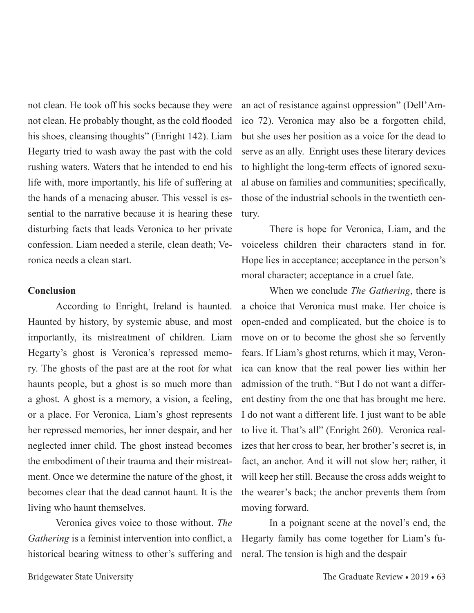not clean. He took off his socks because they were not clean. He probably thought, as the cold flooded his shoes, cleansing thoughts" (Enright 142). Liam Hegarty tried to wash away the past with the cold rushing waters. Waters that he intended to end his life with, more importantly, his life of suffering at the hands of a menacing abuser. This vessel is essential to the narrative because it is hearing these disturbing facts that leads Veronica to her private confession. Liam needed a sterile, clean death; Veronica needs a clean start.

### **Conclusion**

According to Enright, Ireland is haunted. Haunted by history, by systemic abuse, and most importantly, its mistreatment of children. Liam Hegarty's ghost is Veronica's repressed memory. The ghosts of the past are at the root for what haunts people, but a ghost is so much more than a ghost. A ghost is a memory, a vision, a feeling, or a place. For Veronica, Liam's ghost represents her repressed memories, her inner despair, and her neglected inner child. The ghost instead becomes the embodiment of their trauma and their mistreatment. Once we determine the nature of the ghost, it becomes clear that the dead cannot haunt. It is the living who haunt themselves.

Veronica gives voice to those without. *The Gathering* is a feminist intervention into conflict, a historical bearing witness to other's suffering and

an act of resistance against oppression" (Dell'Amico 72). Veronica may also be a forgotten child, but she uses her position as a voice for the dead to serve as an ally. Enright uses these literary devices to highlight the long-term effects of ignored sexual abuse on families and communities; specifically, those of the industrial schools in the twentieth century.

There is hope for Veronica, Liam, and the voiceless children their characters stand in for. Hope lies in acceptance; acceptance in the person's moral character; acceptance in a cruel fate.

When we conclude *The Gathering*, there is a choice that Veronica must make. Her choice is open-ended and complicated, but the choice is to move on or to become the ghost she so fervently fears. If Liam's ghost returns, which it may, Veronica can know that the real power lies within her admission of the truth. "But I do not want a different destiny from the one that has brought me here. I do not want a different life. I just want to be able to live it. That's all" (Enright 260). Veronica realizes that her cross to bear, her brother's secret is, in fact, an anchor. And it will not slow her; rather, it will keep her still. Because the cross adds weight to the wearer's back; the anchor prevents them from moving forward.

In a poignant scene at the novel's end, the Hegarty family has come together for Liam's funeral. The tension is high and the despair